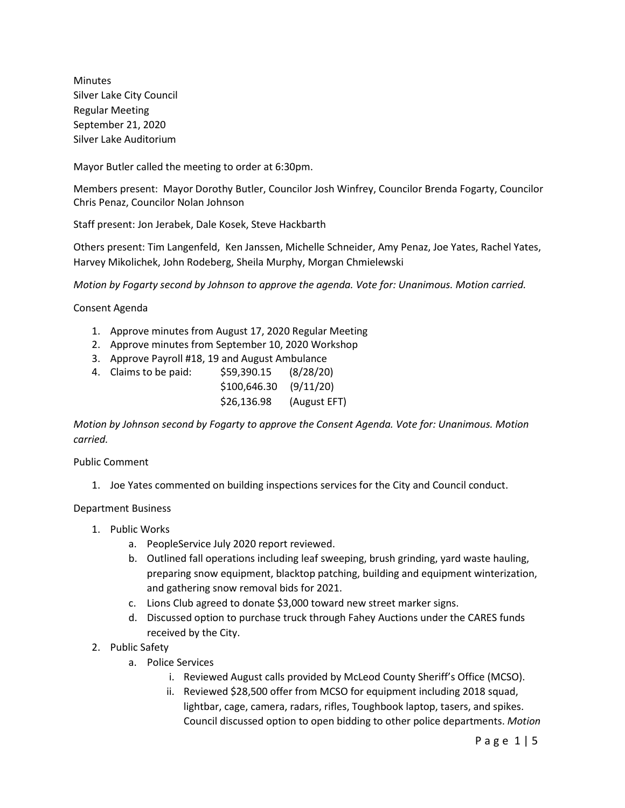Minutes Silver Lake City Council Regular Meeting September 21, 2020 Silver Lake Auditorium

Mayor Butler called the meeting to order at 6:30pm.

Members present: Mayor Dorothy Butler, Councilor Josh Winfrey, Councilor Brenda Fogarty, Councilor Chris Penaz, Councilor Nolan Johnson

Staff present: Jon Jerabek, Dale Kosek, Steve Hackbarth

Others present: Tim Langenfeld, Ken Janssen, Michelle Schneider, Amy Penaz, Joe Yates, Rachel Yates, Harvey Mikolichek, John Rodeberg, Sheila Murphy, Morgan Chmielewski

*Motion by Fogarty second by Johnson to approve the agenda. Vote for: Unanimous. Motion carried.*

Consent Agenda

- 1. Approve minutes from August 17, 2020 Regular Meeting
- 2. Approve minutes from September 10, 2020 Workshop
- 3. Approve Payroll #18, 19 and August Ambulance
- 4. Claims to be paid: \$59,390.15 (8/28/20)

| $$100,646.30$ (9/11/20) |              |
|-------------------------|--------------|
| \$26,136.98             | (August EFT) |

*Motion by Johnson second by Fogarty to approve the Consent Agenda. Vote for: Unanimous. Motion carried.*

#### Public Comment

- 1. Joe Yates commented on building inspections services for the City and Council conduct.
- Department Business
	- 1. Public Works
		- a. PeopleService July 2020 report reviewed.
		- b. Outlined fall operations including leaf sweeping, brush grinding, yard waste hauling, preparing snow equipment, blacktop patching, building and equipment winterization, and gathering snow removal bids for 2021.
		- c. Lions Club agreed to donate \$3,000 toward new street marker signs.
		- d. Discussed option to purchase truck through Fahey Auctions under the CARES funds received by the City.
	- 2. Public Safety
		- a. Police Services
			- i. Reviewed August calls provided by McLeod County Sheriff's Office (MCSO).
			- ii. Reviewed \$28,500 offer from MCSO for equipment including 2018 squad, lightbar, cage, camera, radars, rifles, Toughbook laptop, tasers, and spikes. Council discussed option to open bidding to other police departments. *Motion*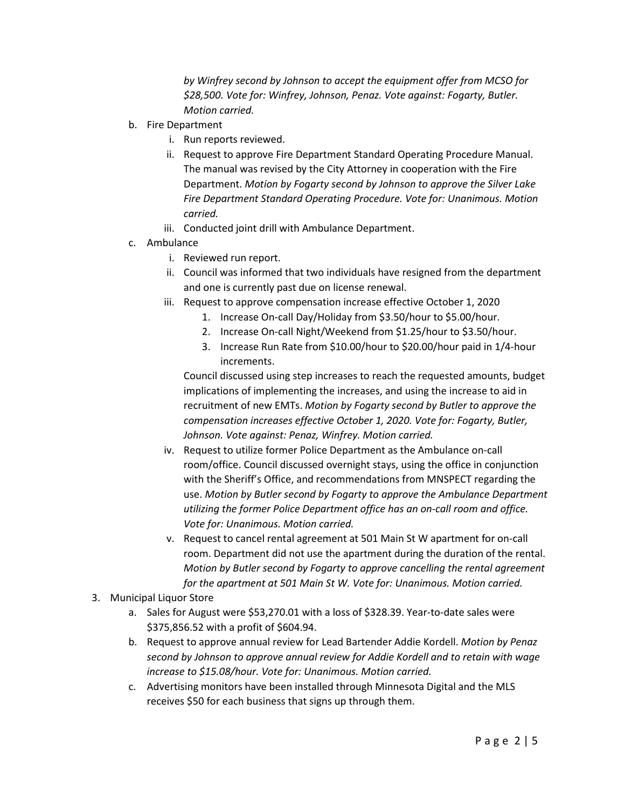*by Winfrey second by Johnson to accept the equipment offer from MCSO for \$28,500. Vote for: Winfrey, Johnson, Penaz. Vote against: Fogarty, Butler. Motion carried.* 

- b. Fire Department
	- i. Run reports reviewed.
	- ii. Request to approve Fire Department Standard Operating Procedure Manual. The manual was revised by the City Attorney in cooperation with the Fire Department. *Motion by Fogarty second by Johnson to approve the Silver Lake Fire Department Standard Operating Procedure. Vote for: Unanimous. Motion carried.*
	- iii. Conducted joint drill with Ambulance Department.
- c. Ambulance
	- i. Reviewed run report.
	- ii. Council was informed that two individuals have resigned from the department and one is currently past due on license renewal.
	- iii. Request to approve compensation increase effective October 1, 2020
		- 1. Increase On-call Day/Holiday from \$3.50/hour to \$5.00/hour.
		- 2. Increase On-call Night/Weekend from \$1.25/hour to \$3.50/hour.
		- 3. Increase Run Rate from \$10.00/hour to \$20.00/hour paid in 1/4-hour increments.

Council discussed using step increases to reach the requested amounts, budget implications of implementing the increases, and using the increase to aid in recruitment of new EMTs. *Motion by Fogarty second by Butler to approve the compensation increases effective October 1, 2020. Vote for: Fogarty, Butler, Johnson. Vote against: Penaz, Winfrey. Motion carried.* 

- iv. Request to utilize former Police Department as the Ambulance on-call room/office. Council discussed overnight stays, using the office in conjunction with the Sheriff's Office, and recommendations from MNSPECT regarding the use. *Motion by Butler second by Fogarty to approve the Ambulance Department utilizing the former Police Department office has an on-call room and office. Vote for: Unanimous. Motion carried.*
- v. Request to cancel rental agreement at 501 Main St W apartment for on-call room. Department did not use the apartment during the duration of the rental. *Motion by Butler second by Fogarty to approve cancelling the rental agreement for the apartment at 501 Main St W. Vote for: Unanimous. Motion carried.*
- 3. Municipal Liquor Store
	- a. Sales for August were \$53,270.01 with a loss of \$328.39. Year-to-date sales were \$375,856.52 with a profit of \$604.94.
	- b. Request to approve annual review for Lead Bartender Addie Kordell. *Motion by Penaz second by Johnson to approve annual review for Addie Kordell and to retain with wage increase to \$15.08/hour. Vote for: Unanimous. Motion carried.*
	- c. Advertising monitors have been installed through Minnesota Digital and the MLS receives \$50 for each business that signs up through them.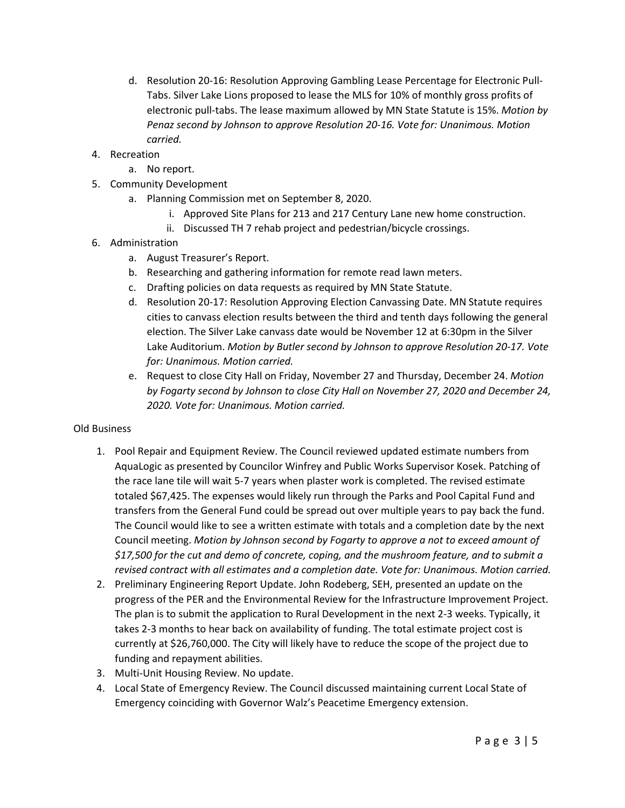- d. Resolution 20-16: Resolution Approving Gambling Lease Percentage for Electronic Pull-Tabs. Silver Lake Lions proposed to lease the MLS for 10% of monthly gross profits of electronic pull-tabs. The lease maximum allowed by MN State Statute is 15%. *Motion by Penaz second by Johnson to approve Resolution 20-16. Vote for: Unanimous. Motion carried.*
- 4. Recreation
	- a. No report.
- 5. Community Development
	- a. Planning Commission met on September 8, 2020.
		- i. Approved Site Plans for 213 and 217 Century Lane new home construction.
		- ii. Discussed TH 7 rehab project and pedestrian/bicycle crossings.
- 6. Administration
	- a. August Treasurer's Report.
	- b. Researching and gathering information for remote read lawn meters.
	- c. Drafting policies on data requests as required by MN State Statute.
	- d. Resolution 20-17: Resolution Approving Election Canvassing Date. MN Statute requires cities to canvass election results between the third and tenth days following the general election. The Silver Lake canvass date would be November 12 at 6:30pm in the Silver Lake Auditorium. *Motion by Butler second by Johnson to approve Resolution 20-17. Vote for: Unanimous. Motion carried.*
	- e. Request to close City Hall on Friday, November 27 and Thursday, December 24. *Motion by Fogarty second by Johnson to close City Hall on November 27, 2020 and December 24, 2020. Vote for: Unanimous. Motion carried.*

### Old Business

- 1. Pool Repair and Equipment Review. The Council reviewed updated estimate numbers from AquaLogic as presented by Councilor Winfrey and Public Works Supervisor Kosek. Patching of the race lane tile will wait 5-7 years when plaster work is completed. The revised estimate totaled \$67,425. The expenses would likely run through the Parks and Pool Capital Fund and transfers from the General Fund could be spread out over multiple years to pay back the fund. The Council would like to see a written estimate with totals and a completion date by the next Council meeting. *Motion by Johnson second by Fogarty to approve a not to exceed amount of \$17,500 for the cut and demo of concrete, coping, and the mushroom feature, and to submit a revised contract with all estimates and a completion date. Vote for: Unanimous. Motion carried.*
- 2. Preliminary Engineering Report Update. John Rodeberg, SEH, presented an update on the progress of the PER and the Environmental Review for the Infrastructure Improvement Project. The plan is to submit the application to Rural Development in the next 2-3 weeks. Typically, it takes 2-3 months to hear back on availability of funding. The total estimate project cost is currently at \$26,760,000. The City will likely have to reduce the scope of the project due to funding and repayment abilities.
- 3. Multi-Unit Housing Review. No update.
- 4. Local State of Emergency Review. The Council discussed maintaining current Local State of Emergency coinciding with Governor Walz's Peacetime Emergency extension.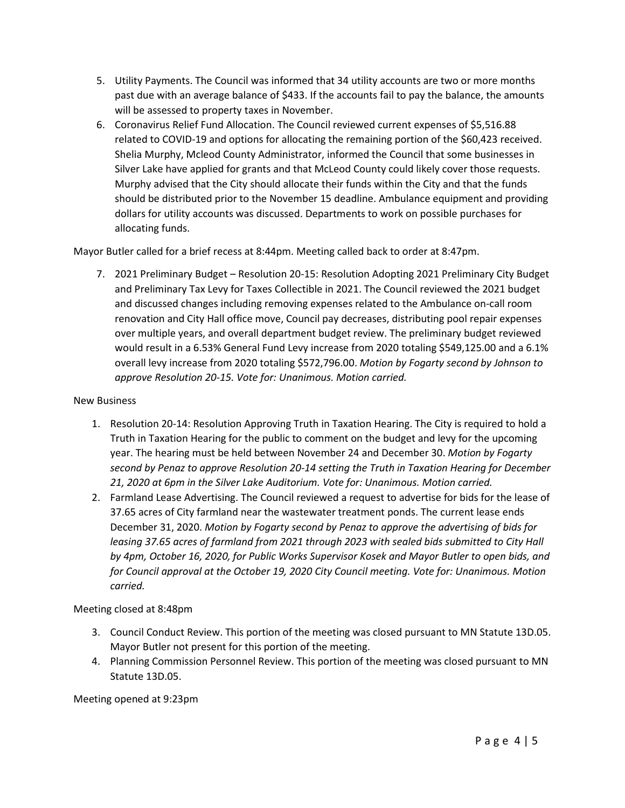- 5. Utility Payments. The Council was informed that 34 utility accounts are two or more months past due with an average balance of \$433. If the accounts fail to pay the balance, the amounts will be assessed to property taxes in November.
- 6. Coronavirus Relief Fund Allocation. The Council reviewed current expenses of \$5,516.88 related to COVID-19 and options for allocating the remaining portion of the \$60,423 received. Shelia Murphy, Mcleod County Administrator, informed the Council that some businesses in Silver Lake have applied for grants and that McLeod County could likely cover those requests. Murphy advised that the City should allocate their funds within the City and that the funds should be distributed prior to the November 15 deadline. Ambulance equipment and providing dollars for utility accounts was discussed. Departments to work on possible purchases for allocating funds.

Mayor Butler called for a brief recess at 8:44pm. Meeting called back to order at 8:47pm.

7. 2021 Preliminary Budget – Resolution 20-15: Resolution Adopting 2021 Preliminary City Budget and Preliminary Tax Levy for Taxes Collectible in 2021. The Council reviewed the 2021 budget and discussed changes including removing expenses related to the Ambulance on-call room renovation and City Hall office move, Council pay decreases, distributing pool repair expenses over multiple years, and overall department budget review. The preliminary budget reviewed would result in a 6.53% General Fund Levy increase from 2020 totaling \$549,125.00 and a 6.1% overall levy increase from 2020 totaling \$572,796.00. *Motion by Fogarty second by Johnson to approve Resolution 20-15. Vote for: Unanimous. Motion carried.*

#### New Business

- 1. Resolution 20-14: Resolution Approving Truth in Taxation Hearing. The City is required to hold a Truth in Taxation Hearing for the public to comment on the budget and levy for the upcoming year. The hearing must be held between November 24 and December 30. *Motion by Fogarty second by Penaz to approve Resolution 20-14 setting the Truth in Taxation Hearing for December 21, 2020 at 6pm in the Silver Lake Auditorium. Vote for: Unanimous. Motion carried.*
- 2. Farmland Lease Advertising. The Council reviewed a request to advertise for bids for the lease of 37.65 acres of City farmland near the wastewater treatment ponds. The current lease ends December 31, 2020. *Motion by Fogarty second by Penaz to approve the advertising of bids for leasing 37.65 acres of farmland from 2021 through 2023 with sealed bids submitted to City Hall by 4pm, October 16, 2020, for Public Works Supervisor Kosek and Mayor Butler to open bids, and for Council approval at the October 19, 2020 City Council meeting. Vote for: Unanimous. Motion carried.*

Meeting closed at 8:48pm

- 3. Council Conduct Review. This portion of the meeting was closed pursuant to MN Statute 13D.05. Mayor Butler not present for this portion of the meeting.
- 4. Planning Commission Personnel Review. This portion of the meeting was closed pursuant to MN Statute 13D.05.

Meeting opened at 9:23pm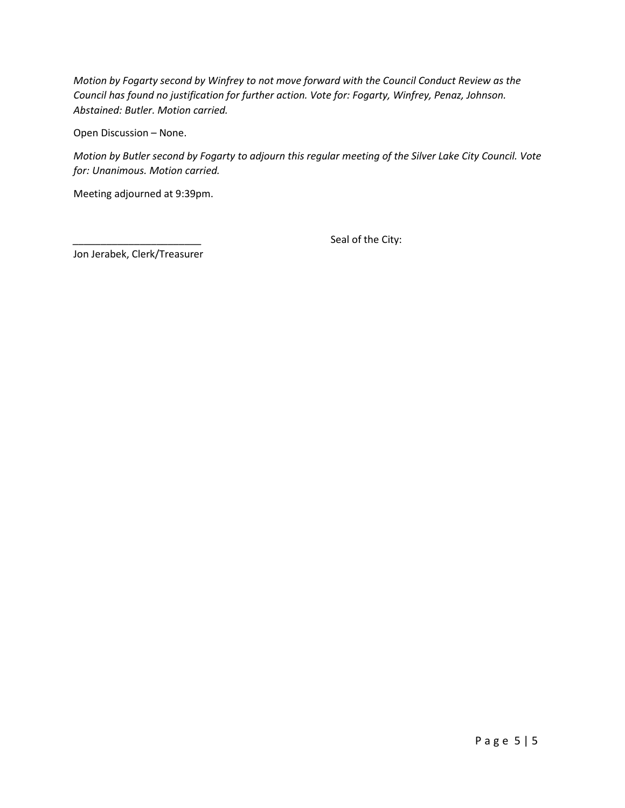*Motion by Fogarty second by Winfrey to not move forward with the Council Conduct Review as the Council has found no justification for further action. Vote for: Fogarty, Winfrey, Penaz, Johnson. Abstained: Butler. Motion carried.*

Open Discussion – None.

*Motion by Butler second by Fogarty to adjourn this regular meeting of the Silver Lake City Council. Vote for: Unanimous. Motion carried.*

Meeting adjourned at 9:39pm.

Seal of the City:

Jon Jerabek, Clerk/Treasurer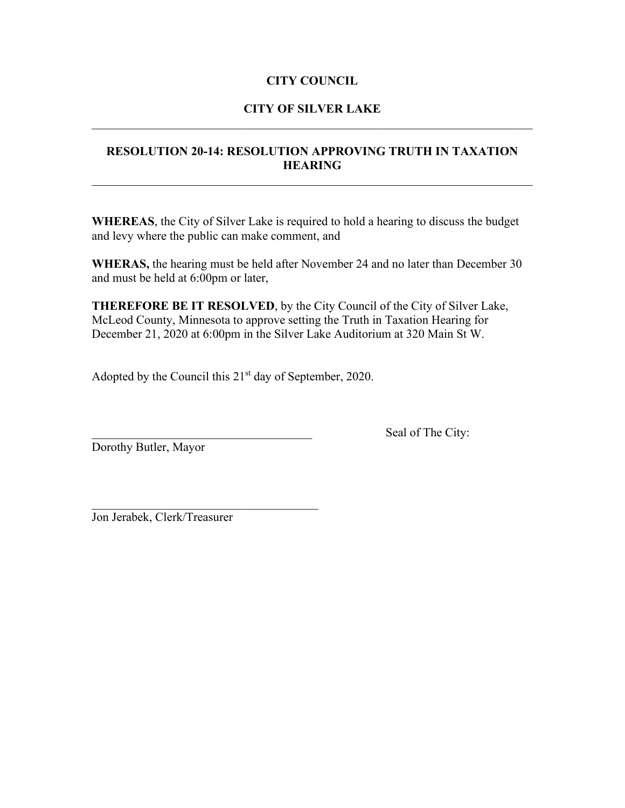# **CITY OF SILVER LAKE**  $\mathcal{L}_\text{G}$  , and the contribution of the contribution of the contribution of the contribution of the contribution of the contribution of the contribution of the contribution of the contribution of the contribution of t

# **RESOLUTION 20-14: RESOLUTION APPROVING TRUTH IN TAXATION HEARING**

**WHEREAS**, the City of Silver Lake is required to hold a hearing to discuss the budget and levy where the public can make comment, and

**WHERAS,** the hearing must be held after November 24 and no later than December 30 and must be held at 6:00pm or later,

**THEREFORE BE IT RESOLVED**, by the City Council of the City of Silver Lake, McLeod County, Minnesota to approve setting the Truth in Taxation Hearing for December 21, 2020 at 6:00pm in the Silver Lake Auditorium at 320 Main St W.

Adopted by the Council this  $21<sup>st</sup>$  day of September, 2020.

Dorothy Butler, Mayor

Seal of The City:

\_\_\_\_\_\_\_\_\_\_\_\_\_\_\_\_\_\_\_\_\_\_\_\_\_\_\_\_\_\_\_\_\_\_\_\_\_ Jon Jerabek, Clerk/Treasurer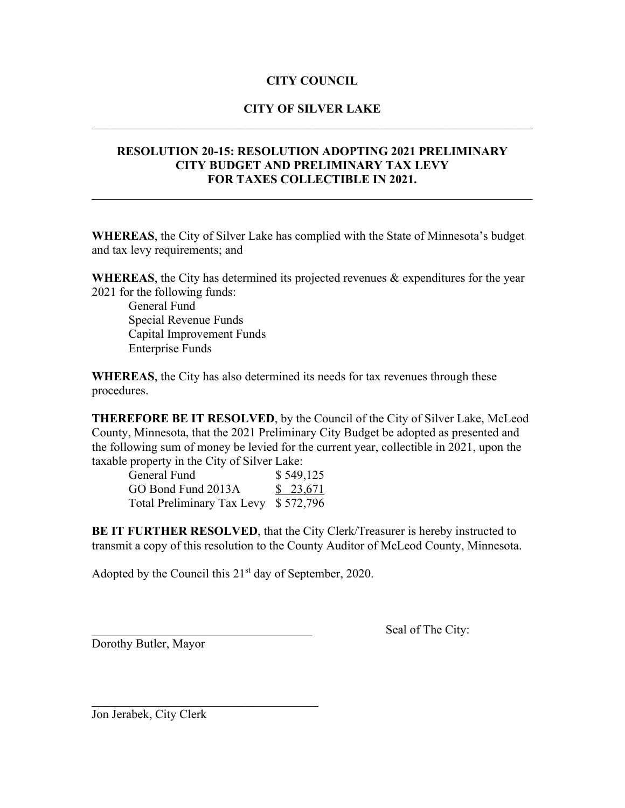# **CITY OF SILVER LAKE**  $\mathcal{L}_\text{G}$  , and the contribution of the contribution of the contribution of the contribution of the contribution of the contribution of the contribution of the contribution of the contribution of the contribution of t

# **RESOLUTION 20-15: RESOLUTION ADOPTING 2021 PRELIMINARY CITY BUDGET AND PRELIMINARY TAX LEVY FOR TAXES COLLECTIBLE IN 2021.**

 $\_$  , and the set of the set of the set of the set of the set of the set of the set of the set of the set of the set of the set of the set of the set of the set of the set of the set of the set of the set of the set of th

**WHEREAS**, the City of Silver Lake has complied with the State of Minnesota's budget and tax levy requirements; and

**WHEREAS**, the City has determined its projected revenues & expenditures for the year 2021 for the following funds:

General Fund Special Revenue Funds Capital Improvement Funds Enterprise Funds

**WHEREAS**, the City has also determined its needs for tax revenues through these procedures.

**THEREFORE BE IT RESOLVED**, by the Council of the City of Silver Lake, McLeod County, Minnesota, that the 2021 Preliminary City Budget be adopted as presented and the following sum of money be levied for the current year, collectible in 2021, upon the taxable property in the City of Silver Lake:

| General Fund                         | \$549,125 |
|--------------------------------------|-----------|
| GO Bond Fund 2013A                   | \$23,671  |
| Total Preliminary Tax Levy \$572,796 |           |

**BE IT FURTHER RESOLVED**, that the City Clerk/Treasurer is hereby instructed to transmit a copy of this resolution to the County Auditor of McLeod County, Minnesota.

Adopted by the Council this  $21<sup>st</sup>$  day of September, 2020.

\_\_\_\_\_\_\_\_\_\_\_\_\_\_\_\_\_\_\_\_\_\_\_\_\_\_\_\_\_\_\_\_\_\_\_\_\_

Dorothy Butler, Mayor

Seal of The City:

Jon Jerabek, City Clerk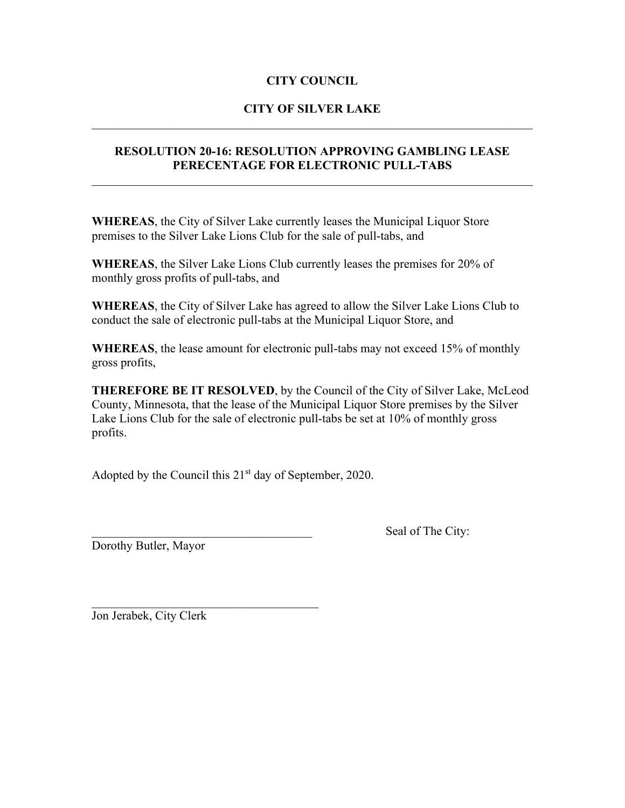# **CITY OF SILVER LAKE**  $\mathcal{L}_\text{G}$  , and the contribution of the contribution of the contribution of the contribution of the contribution of the contribution of the contribution of the contribution of the contribution of the contribution of t

## **RESOLUTION 20-16: RESOLUTION APPROVING GAMBLING LEASE PERECENTAGE FOR ELECTRONIC PULL-TABS**

**WHEREAS**, the City of Silver Lake currently leases the Municipal Liquor Store premises to the Silver Lake Lions Club for the sale of pull-tabs, and

**WHEREAS**, the Silver Lake Lions Club currently leases the premises for 20% of monthly gross profits of pull-tabs, and

**WHEREAS**, the City of Silver Lake has agreed to allow the Silver Lake Lions Club to conduct the sale of electronic pull-tabs at the Municipal Liquor Store, and

**WHEREAS**, the lease amount for electronic pull-tabs may not exceed 15% of monthly gross profits,

**THEREFORE BE IT RESOLVED**, by the Council of the City of Silver Lake, McLeod County, Minnesota, that the lease of the Municipal Liquor Store premises by the Silver Lake Lions Club for the sale of electronic pull-tabs be set at 10% of monthly gross profits.

Adopted by the Council this  $21<sup>st</sup>$  day of September, 2020.

Dorothy Butler, Mayor

Seal of The City:

Jon Jerabek, City Clerk